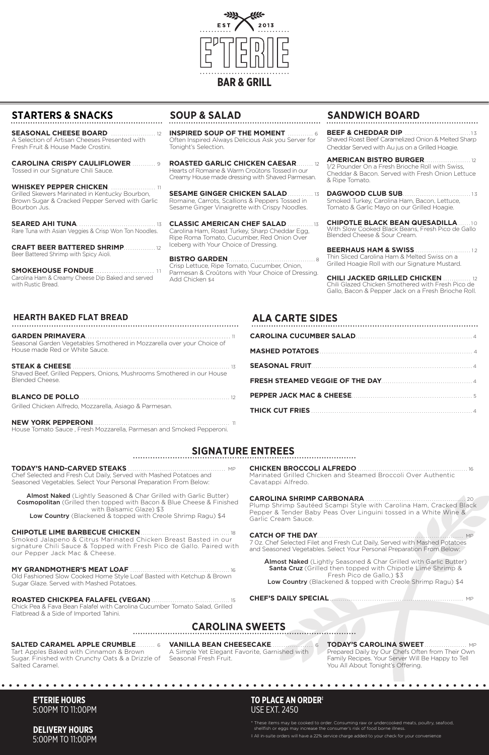## **STARTERS & SNACKS**

**SEASONAL CHEESE BOARD** ..................... 12 A Selection of Artisan Cheeses Presented with Fresh Fruit & House Made Crostini.

**CAROLINA CRISPY CAULIFLOWER** ........... 9 Tossed in our Signature Chili Sauce.

**WHISKEY PEPPER CHICKEN. ......................... 11** Grilled Skewers Marinated in Kentucky Bourbon, Brown Sugar & Cracked Pepper Served with Garlic Bourbon Jus.

**SMOKEHOUSE FONDUE** ................................ 11 Carolina Ham & Creamy Cheese Dip Baked and served with Rustic Bread.

**SEARED AHI TUNA**. .................................... 13 Rare Tuna with Asian Veggies & Crisp Won Ton Noodles.

**CRAFT BEER BATTERED SHRIMP**............... 12 Beer Battered Shrimp with Spicy Aioli.



## **SOUP & SALAD SANDWICH BOARD**

## **HEARTH BAKED FLAT BREAD ALA CARTE SIDES**

## **SIGNATURE ENTREES**

### **CAROLINA SWEETS**

**BEEF & CHEDDAR DIP .......................** Shaved Roast Beef Caramelized Onion & Melted Sharp Cheddar Served with Au jus on a Grilled Hoagie.

**INSPIRED SOUP OF THE MOMENT** ............ 6 Often Inspired Always Delicious Ask you Server for Tonight's Selection.

> **AMERICAN BISTRO BURGER......** 1/2 Pounder On a Fresh Brioche Roll with Swiss, Cheddar & Bacon. Served with Fresh Onion Lettuce & Ripe Tomato.

**ROASTED GARLIC CHICKEN CAESAR**........ 12 Hearts of Romaine & Warm Croûtons Tossed in our Creamy House made dressing with Shaved Parmesan.

> **CHIPOTLE BLACK BEAN QUESADILLA**......10 With Slow Cooked Black Beans, Fresh Pico de Gallo Blended Cheese & Sour Cream.

> **BEERHAUS HAM & SWISS .............................. 12** Thin Sliced Carolina Ham & Melted Swiss on a Grilled Hoagie Roll with our Signature Mustard.

**SESAME GINGER CHICKEN SALAD**............ 13 Romaine, Carrots, Scallions & Peppers Tossed in Sesame Ginger Vinaigrette with Crispy Noodles.

> **CHILI JACKED GRILLED CHICKEN ....** Chili Glazed Chicken Smothered with Fresh Pico de Gallo, Bacon & Pepper Jack on a Fresh Brioche Roll.

**CLASSIC AMERICAN CHEF SALAD** ............ 13 Carolina Ham, Roast Turkey, Sharp Cheddar Egg, Ripe Roma Tomato, Cucumber, Red Onion Over Iceberg with Your Choice of Dressing.

**BISTRO GARDEN**......................................... 8 Crisp Lettuce, Ripe Tomato, Cucumber, Onion, Parmesan & Croûtons with Your Choice of Dressing. Add Chicken \$4

**DAGWOOD CLUB SUB**................................ 1 3 Smoked Turkey, Carolina Ham, Bacon, Lettuce, Tomato & Garlic Mayo on our Grilled Hoagie.

Almost Naked (Lightly Seasoned & Char Grilled with Garlic Butter) Cosmopolitan (Grilled then topped with Bacon & Blue Cheese & Finished with Balsamic Glaze) \$3

Low Country (Blackened & topped with Creole Shrimp Ragu) \$4

#### **CHIPOTLE LIME BARBECUE CHICKEN**

| <b>SEASONAL FRUIT</b> |  |
|-----------------------|--|
|                       |  |
|                       |  |
|                       |  |

**GARDEN PRIMAVERA**............................................................. <sup>11</sup> Seasonal Garden Vegetables Smothered in Mozzarella over your Choice of

House made Red or White Sauce.

**STEAK & CHEESE** .......................................................................... <sup>13</sup>

Shaved Beef, Grilled Peppers, Onions, Mushrooms Smothered in our House

Blended Cheese.

**BLANCO DE POLLO**....................................................................... 12

Grilled Chicken Alfredo, Mozzarella, Asiago & Parmesan.

**NEW YORK PEPPERONI ...................................** 

House Tomato Sauce , Fresh Mozzarella, Parmesan and Smoked Pepperoni.

**TODAY'S HAND-CARVED STEAKS** .............................................. MP Chef Selected and Fresh Cut Daily, Served with Mashed Potatoes and Seasoned Vegetables. Select Your Personal Preparation From Below:

Smoked Jalapeno & Citrus Marinated Chicken Breast Basted in our signature Chili Sauce & Topped with Fresh Pico de Gallo. Paired with our Pepper Jack Mac & Cheese.

**CHICKEN BROCCOLI ALFREDO** ....................

#### **MY GRANDMOTHER'S MEAT LOAF** ............................................... 16

Old Fashioned Slow Cooked Home Style Loaf Basted with Ketchup & Brown Sugar Glaze. Served with Mashed Potatoes.

#### **ROASTED CHICKPEA FALAFEL (VEGAN)** ..................................... 15

Chick Pea & Fava Bean Falafel with Carolina Cucumber Tomato Salad, Grilled Flatbread & a Side of Imported Tahini.

#### Almost Naked (Lightly Seasoned & Char Grilled with Garlic Butter) Santa Cruz (Grilled then topped with Chipotle Lime Shrimp & Fresh Pico de Gallo,) \$3 Low Country (Blackened & topped with Creole Shrimp Ragu) \$4

Marinated Grilled Chicken and Steamed Broccoli Over Authentic Cavatappi Alfredo.

### **CAROLINA SHRIMP CARBONARA** ............................................... 20

Plump Shrimp Sautéed Scampi Style with Carolina Ham, Cracked Black Pepper & Tender Baby Peas Over Linguini tossed in a White Wine & Garlic Cream Sauce.

### **CATCH OF THE DAY**..................................................................... MP

7 0z. Chef Selected Filet and Fresh Cut Daily, Served with Mashed Potatoes and Seasoned Vegetables. Select Your Personal Preparation From Below:

#### **CHEF'S DAILY SPECIAL** ............................................................... MP

### **E'TERIE HOURS**  5:00PM TO 11:00PM

**DELIVERY HOURS**  5:00PM TO 11:00PM \* These items may be cooked to order. Consuming raw or undercooked meats, poultry, seafood, shellfish or eggs may increase the consumer's risk of food borne illness.

‡ All in-suite orders will have a 22% service charge added to your check for your convenience

### **TO PLACE AN ORDER‡** USE EXT. 2450

Tart Apples Baked with Cinnamon & Brown Sugar. Finished with Crunchy Oats & a Drizzle of Seasonal Fresh Fruit. Salted Caramel.

A Simple Yet Elegant Favorite, Garnished with

**SALTED CARAMEL APPLE CRUMBLE**......... 6 **VANILLA BEAN CHEESECAKE**.................... 6 **TODAY'S CAROLINA SWEET**.................... MP Prepared Daily by Our Chefs Often from Their Own Family Recipes. Your Server Will Be Happy to Tell You All About Tonight's Offering.